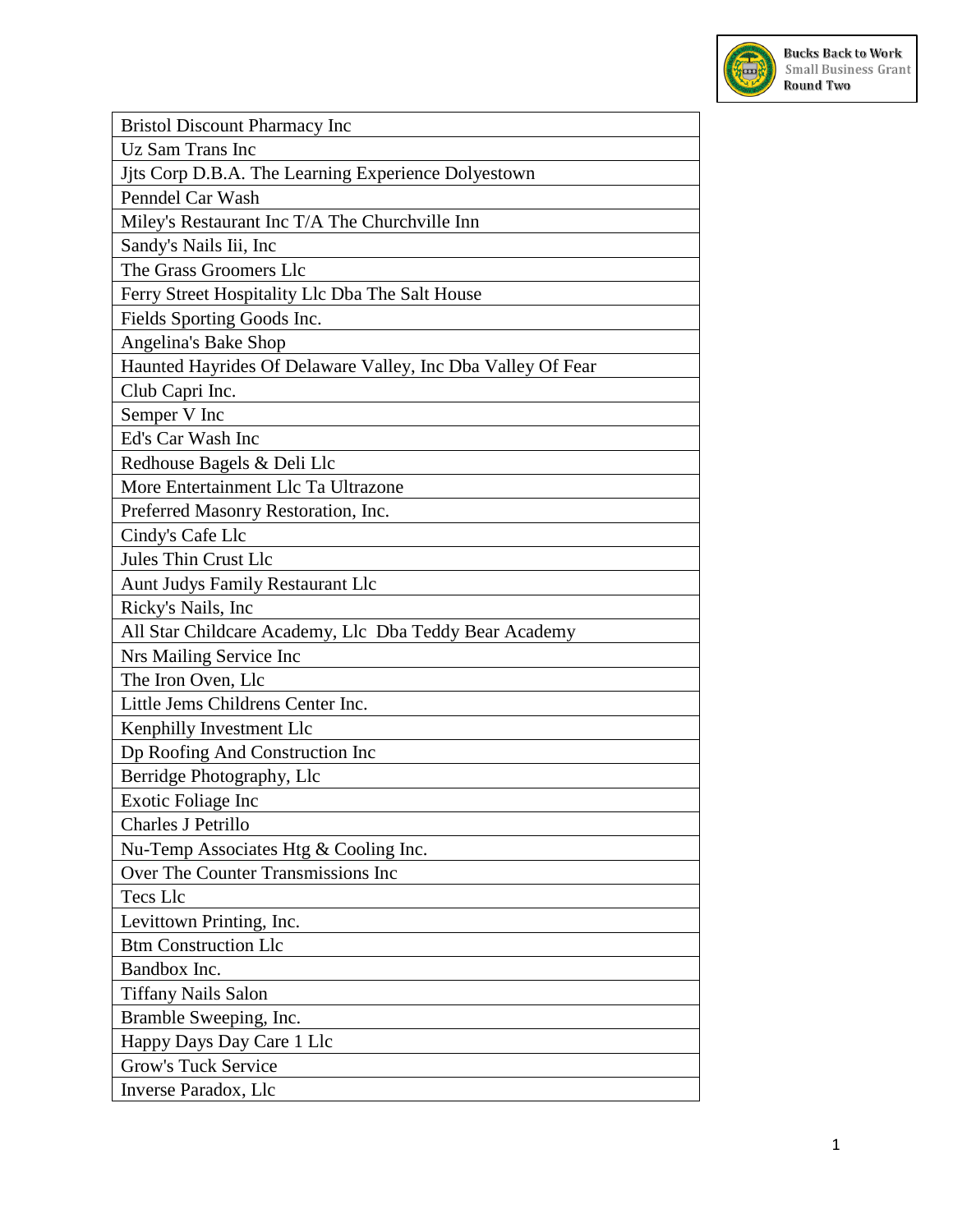

| <b>Bristol Discount Pharmacy Inc</b>                        |
|-------------------------------------------------------------|
| Uz Sam Trans Inc                                            |
| Jits Corp D.B.A. The Learning Experience Dolyestown         |
| Penndel Car Wash                                            |
| Miley's Restaurant Inc T/A The Churchville Inn              |
| Sandy's Nails Iii, Inc                                      |
| The Grass Groomers Llc                                      |
| Ferry Street Hospitality Llc Dba The Salt House             |
| Fields Sporting Goods Inc.                                  |
| Angelina's Bake Shop                                        |
| Haunted Hayrides Of Delaware Valley, Inc Dba Valley Of Fear |
| Club Capri Inc.                                             |
| Semper V Inc                                                |
| Ed's Car Wash Inc                                           |
| Redhouse Bagels & Deli Llc                                  |
| More Entertainment Llc Ta Ultrazone                         |
| Preferred Masonry Restoration, Inc.                         |
| Cindy's Cafe Llc                                            |
| <b>Jules Thin Crust Llc</b>                                 |
| <b>Aunt Judys Family Restaurant Llc</b>                     |
| Ricky's Nails, Inc                                          |
| All Star Childcare Academy, Llc Dba Teddy Bear Academy      |
| Nrs Mailing Service Inc                                     |
| The Iron Oven, Llc                                          |
| Little Jems Childrens Center Inc.                           |
| Kenphilly Investment Llc                                    |
| Dp Roofing And Construction Inc                             |
| Berridge Photography, Llc                                   |
| Exotic Foliage Inc                                          |
| Charles J Petrillo                                          |
| Nu-Temp Associates Htg & Cooling Inc.                       |
| Over The Counter Transmissions Inc                          |
| <b>Tecs Llc</b>                                             |
| Levittown Printing, Inc.                                    |
| <b>Btm Construction Llc</b>                                 |
| Bandbox Inc.                                                |
| <b>Tiffany Nails Salon</b>                                  |
| Bramble Sweeping, Inc.                                      |
| Happy Days Day Care 1 Llc                                   |
| <b>Grow's Tuck Service</b>                                  |
| Inverse Paradox, Llc                                        |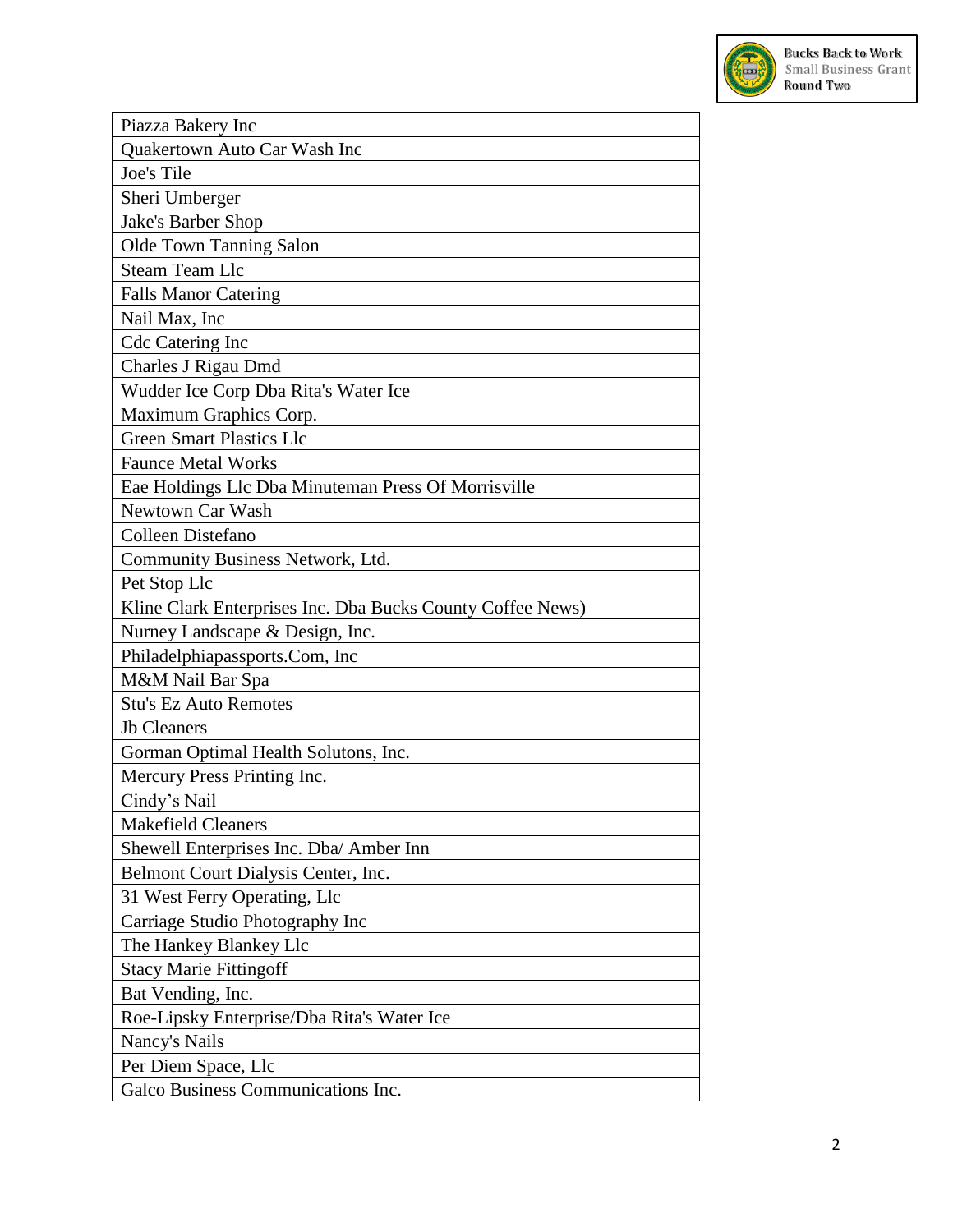

| Piazza Bakery Inc                                          |
|------------------------------------------------------------|
| Quakertown Auto Car Wash Inc                               |
| Joe's Tile                                                 |
| Sheri Umberger                                             |
| Jake's Barber Shop                                         |
| Olde Town Tanning Salon                                    |
| <b>Steam Team Llc</b>                                      |
| <b>Falls Manor Catering</b>                                |
| Nail Max, Inc                                              |
| <b>Cdc Catering Inc</b>                                    |
| Charles J Rigau Dmd                                        |
| Wudder Ice Corp Dba Rita's Water Ice                       |
| Maximum Graphics Corp.                                     |
| <b>Green Smart Plastics Llc</b>                            |
| <b>Faunce Metal Works</b>                                  |
| Eae Holdings Llc Dba Minuteman Press Of Morrisville        |
| Newtown Car Wash                                           |
| Colleen Distefano                                          |
| Community Business Network, Ltd.                           |
| Pet Stop Llc                                               |
| Kline Clark Enterprises Inc. Dba Bucks County Coffee News) |
| Nurney Landscape & Design, Inc.                            |
| Philadelphiapassports.Com, Inc                             |
| M&M Nail Bar Spa                                           |
| <b>Stu's Ez Auto Remotes</b>                               |
| <b>Jb</b> Cleaners                                         |
| Gorman Optimal Health Solutons, Inc.                       |
| Mercury Press Printing Inc.                                |
| Cindy's Nail                                               |
| <b>Makefield Cleaners</b>                                  |
| Shewell Enterprises Inc. Dba/ Amber Inn                    |
| Belmont Court Dialysis Center, Inc.                        |
| 31 West Ferry Operating, Llc                               |
| Carriage Studio Photography Inc                            |
| The Hankey Blankey Llc                                     |
| <b>Stacy Marie Fittingoff</b>                              |
| Bat Vending, Inc.                                          |
| Roe-Lipsky Enterprise/Dba Rita's Water Ice                 |
| Nancy's Nails                                              |
| Per Diem Space, Llc                                        |
| Galco Business Communications Inc.                         |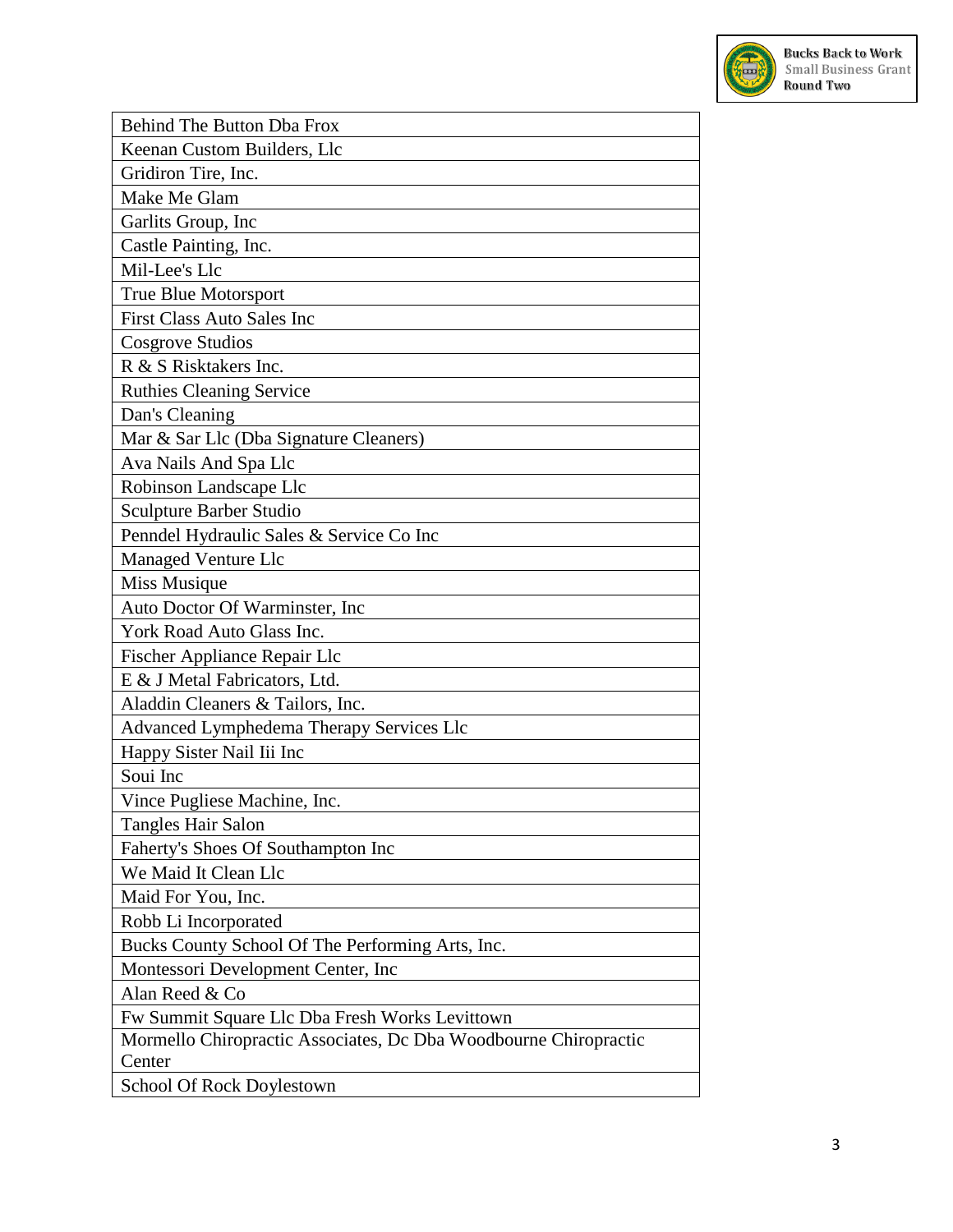

| Behind The Button Dba Frox                                       |
|------------------------------------------------------------------|
| Keenan Custom Builders, Llc                                      |
| Gridiron Tire, Inc.                                              |
| Make Me Glam                                                     |
| Garlits Group, Inc                                               |
| Castle Painting, Inc.                                            |
| Mil-Lee's Llc                                                    |
| True Blue Motorsport                                             |
| <b>First Class Auto Sales Inc</b>                                |
| Cosgrove Studios                                                 |
| R & S Risktakers Inc.                                            |
| <b>Ruthies Cleaning Service</b>                                  |
| Dan's Cleaning                                                   |
| Mar & Sar Llc (Dba Signature Cleaners)                           |
| Ava Nails And Spa Llc                                            |
| Robinson Landscape Llc                                           |
| Sculpture Barber Studio                                          |
| Penndel Hydraulic Sales & Service Co Inc                         |
| <b>Managed Venture Llc</b>                                       |
| Miss Musique                                                     |
| Auto Doctor Of Warminster, Inc                                   |
| York Road Auto Glass Inc.                                        |
| Fischer Appliance Repair Llc                                     |
| E & J Metal Fabricators, Ltd.                                    |
| Aladdin Cleaners & Tailors, Inc.                                 |
| Advanced Lymphedema Therapy Services Llc                         |
| Happy Sister Nail Iii Inc                                        |
| Soui Inc                                                         |
| Vince Pugliese Machine, Inc.                                     |
| Tangles Hair Salon                                               |
| Faherty's Shoes Of Southampton Inc                               |
| We Maid It Clean Llc                                             |
| Maid For You, Inc.                                               |
| Robb Li Incorporated                                             |
| Bucks County School Of The Performing Arts, Inc.                 |
| Montessori Development Center, Inc.                              |
| Alan Reed & Co                                                   |
| Fw Summit Square Llc Dba Fresh Works Levittown                   |
| Mormello Chiropractic Associates, Dc Dba Woodbourne Chiropractic |
| Center                                                           |
| School Of Rock Doylestown                                        |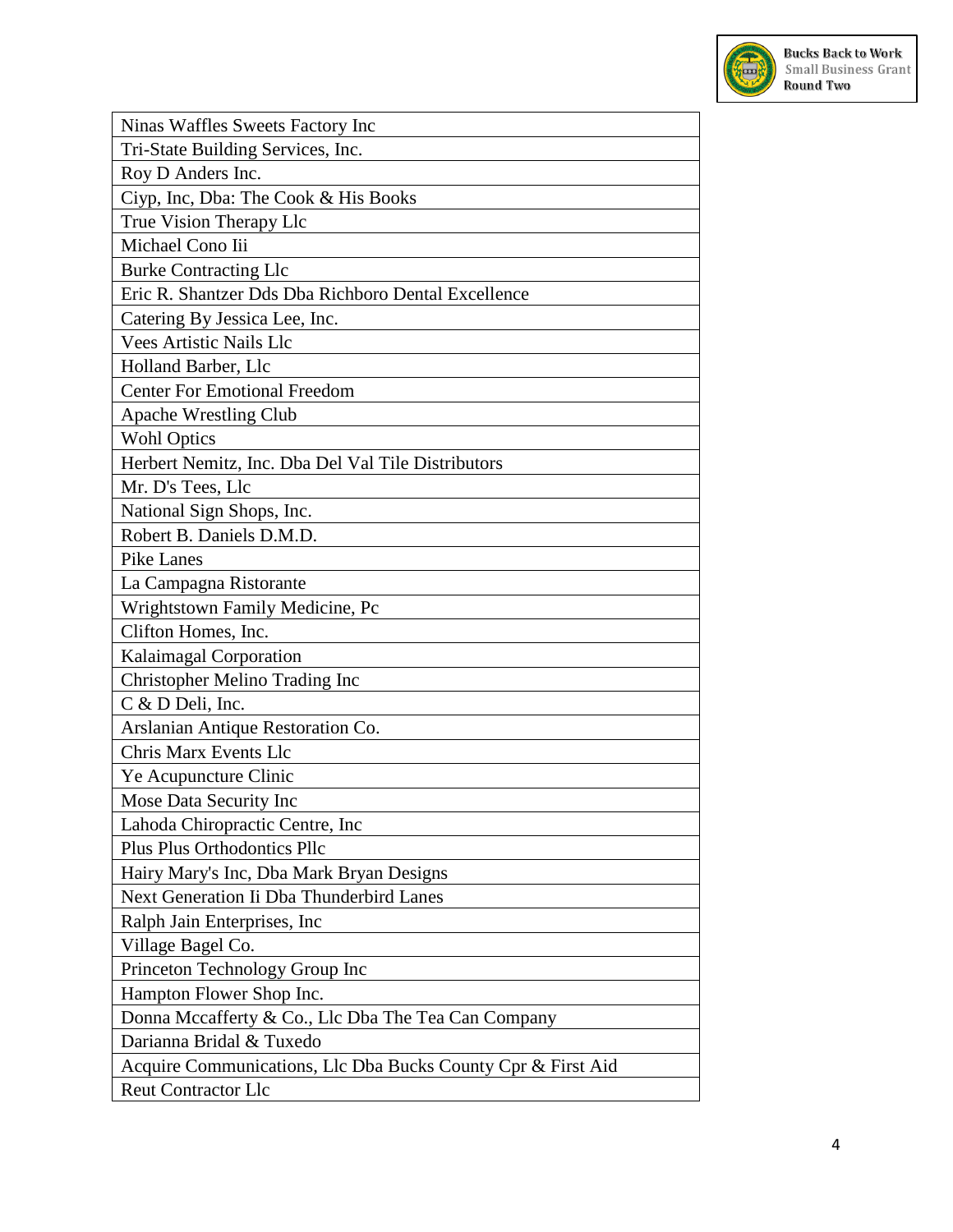

| Ninas Waffles Sweets Factory Inc                             |
|--------------------------------------------------------------|
| Tri-State Building Services, Inc.                            |
| Roy D Anders Inc.                                            |
| Ciyp, Inc, Dba: The Cook & His Books                         |
| True Vision Therapy Llc                                      |
| Michael Cono Iii                                             |
| <b>Burke Contracting Llc</b>                                 |
| Eric R. Shantzer Dds Dba Richboro Dental Excellence          |
| Catering By Jessica Lee, Inc.                                |
| <b>Vees Artistic Nails Llc</b>                               |
| Holland Barber, Llc                                          |
| <b>Center For Emotional Freedom</b>                          |
| <b>Apache Wrestling Club</b>                                 |
| <b>Wohl Optics</b>                                           |
| Herbert Nemitz, Inc. Dba Del Val Tile Distributors           |
| Mr. D's Tees, Llc                                            |
| National Sign Shops, Inc.                                    |
| Robert B. Daniels D.M.D.                                     |
| <b>Pike Lanes</b>                                            |
| La Campagna Ristorante                                       |
| Wrightstown Family Medicine, Pc                              |
| Clifton Homes, Inc.                                          |
| Kalaimagal Corporation                                       |
| Christopher Melino Trading Inc                               |
| C & D Deli, Inc.                                             |
| Arslanian Antique Restoration Co.                            |
| <b>Chris Marx Events Llc</b>                                 |
| Ye Acupuncture Clinic                                        |
| Mose Data Security Inc                                       |
| Lahoda Chiropractic Centre, Inc.                             |
| <b>Plus Plus Orthodontics Pllc</b>                           |
| Hairy Mary's Inc, Dba Mark Bryan Designs                     |
| Next Generation Ii Dba Thunderbird Lanes                     |
| Ralph Jain Enterprises, Inc.                                 |
| Village Bagel Co.                                            |
| Princeton Technology Group Inc                               |
| Hampton Flower Shop Inc.                                     |
| Donna Mccafferty & Co., Llc Dba The Tea Can Company          |
| Darianna Bridal & Tuxedo                                     |
| Acquire Communications, Llc Dba Bucks County Cpr & First Aid |
| <b>Reut Contractor Llc</b>                                   |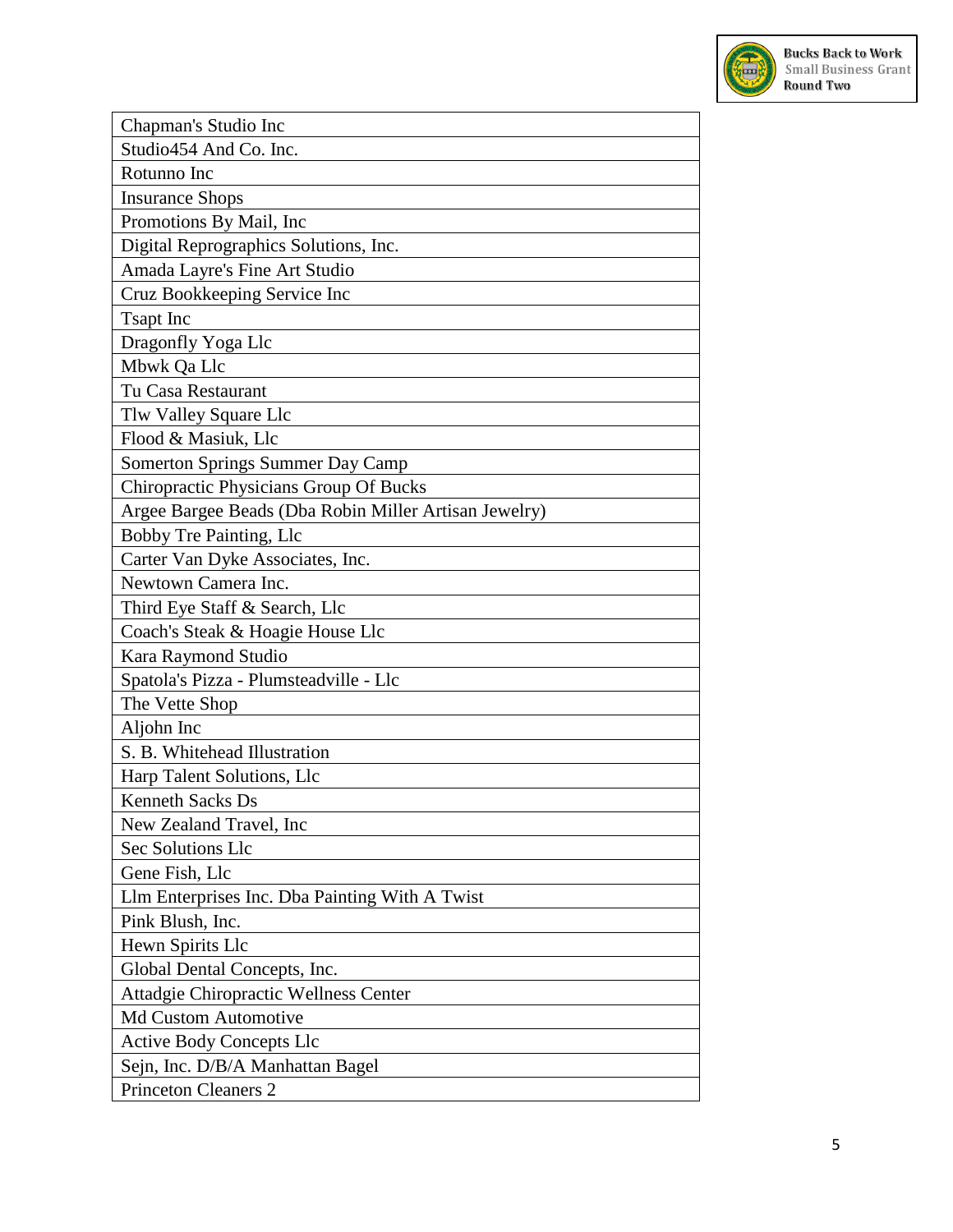

| Chapman's Studio Inc                                  |
|-------------------------------------------------------|
| Studio454 And Co. Inc.                                |
| Rotunno Inc                                           |
| <b>Insurance Shops</b>                                |
| Promotions By Mail, Inc.                              |
| Digital Reprographics Solutions, Inc.                 |
| Amada Layre's Fine Art Studio                         |
| Cruz Bookkeeping Service Inc                          |
| <b>Tsapt</b> Inc                                      |
| Dragonfly Yoga Llc                                    |
| Mbwk Qa Llc                                           |
| Tu Casa Restaurant                                    |
| Tlw Valley Square Llc                                 |
| Flood & Masiuk, Llc                                   |
| Somerton Springs Summer Day Camp                      |
| Chiropractic Physicians Group Of Bucks                |
| Argee Bargee Beads (Dba Robin Miller Artisan Jewelry) |
| Bobby Tre Painting, Llc                               |
| Carter Van Dyke Associates, Inc.                      |
| Newtown Camera Inc.                                   |
| Third Eye Staff & Search, Llc                         |
| Coach's Steak & Hoagie House Llc                      |
| Kara Raymond Studio                                   |
| Spatola's Pizza - Plumsteadville - Llc                |
| The Vette Shop                                        |
| Aljohn Inc                                            |
| S. B. Whitehead Illustration                          |
| Harp Talent Solutions, Llc                            |
| <b>Kenneth Sacks Ds</b>                               |
| New Zealand Travel, Inc.                              |
| Sec Solutions Llc                                     |
| Gene Fish, Llc                                        |
| Llm Enterprises Inc. Dba Painting With A Twist        |
| Pink Blush, Inc.                                      |
| Hewn Spirits Llc                                      |
| Global Dental Concepts, Inc.                          |
| Attadgie Chiropractic Wellness Center                 |
| <b>Md Custom Automotive</b>                           |
| <b>Active Body Concepts Llc</b>                       |
| Sejn, Inc. D/B/A Manhattan Bagel                      |
| <b>Princeton Cleaners 2</b>                           |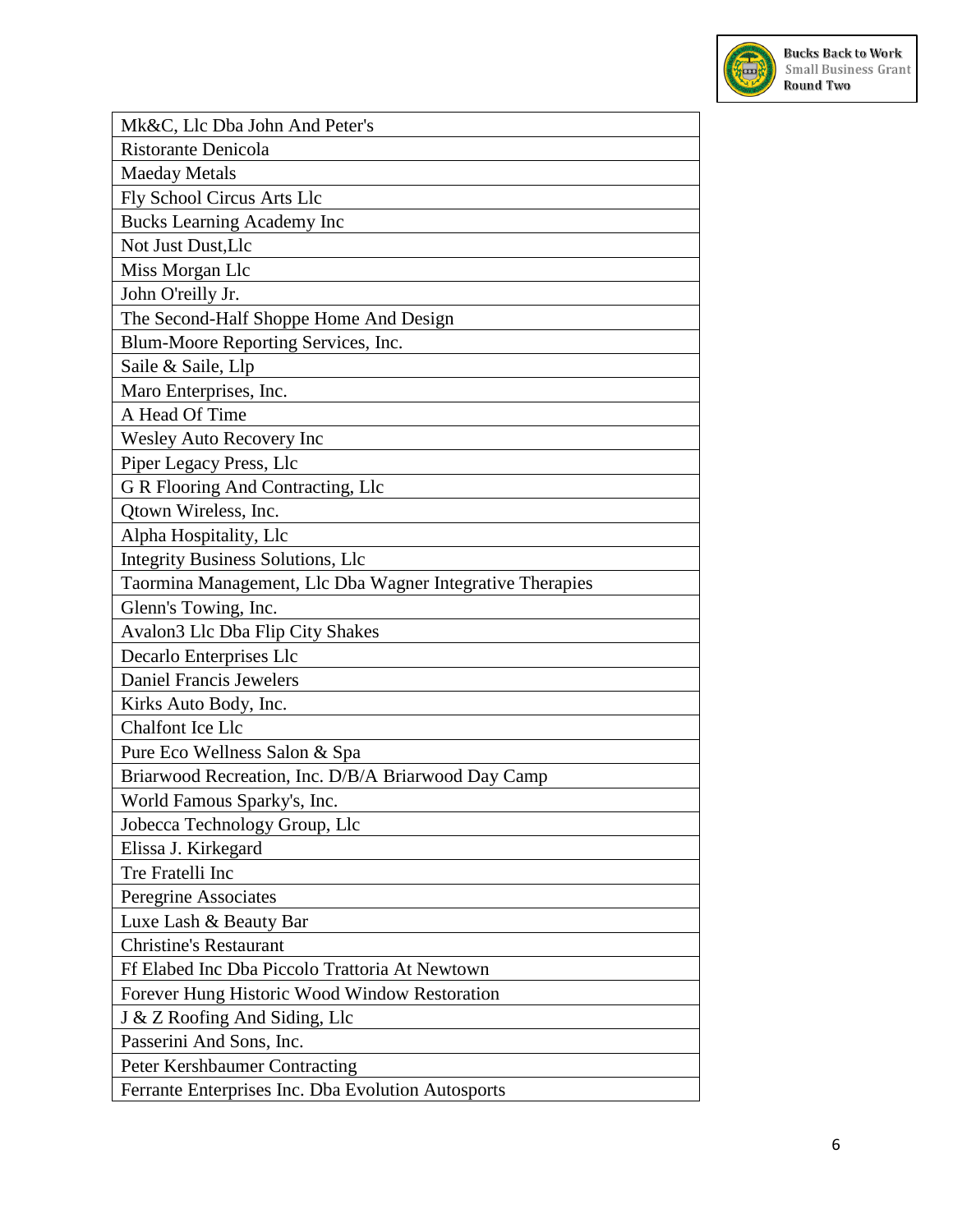

| Mk&C, Llc Dba John And Peter's                            |
|-----------------------------------------------------------|
| Ristorante Denicola                                       |
| <b>Maeday Metals</b>                                      |
| Fly School Circus Arts Llc                                |
| <b>Bucks Learning Academy Inc</b>                         |
| Not Just Dust, Llc                                        |
| Miss Morgan Llc                                           |
| John O'reilly Jr.                                         |
| The Second-Half Shoppe Home And Design                    |
| Blum-Moore Reporting Services, Inc.                       |
| Saile & Saile, Llp                                        |
| Maro Enterprises, Inc.                                    |
| A Head Of Time                                            |
| <b>Wesley Auto Recovery Inc</b>                           |
| Piper Legacy Press, Llc                                   |
| G R Flooring And Contracting, Llc                         |
| Otown Wireless, Inc.                                      |
| Alpha Hospitality, Llc                                    |
| <b>Integrity Business Solutions, Llc</b>                  |
| Taormina Management, Llc Dba Wagner Integrative Therapies |
| Glenn's Towing, Inc.                                      |
| Avalon3 Llc Dba Flip City Shakes                          |
| Decarlo Enterprises Llc                                   |
| <b>Daniel Francis Jewelers</b>                            |
| Kirks Auto Body, Inc.                                     |
| <b>Chalfont Ice Llc</b>                                   |
| Pure Eco Wellness Salon & Spa                             |
| Briarwood Recreation, Inc. D/B/A Briarwood Day Camp       |
| World Famous Sparky's, Inc.                               |
| Jobecca Technology Group, Llc                             |
| Elissa J. Kirkegard                                       |
| Tre Fratelli Inc                                          |
| Peregrine Associates                                      |
| Luxe Lash & Beauty Bar                                    |
| <b>Christine's Restaurant</b>                             |
| Ff Elabed Inc Dba Piccolo Trattoria At Newtown            |
| Forever Hung Historic Wood Window Restoration             |
| J & Z Roofing And Siding, Llc                             |
| Passerini And Sons, Inc.                                  |
| Peter Kershbaumer Contracting                             |
| Ferrante Enterprises Inc. Dba Evolution Autosports        |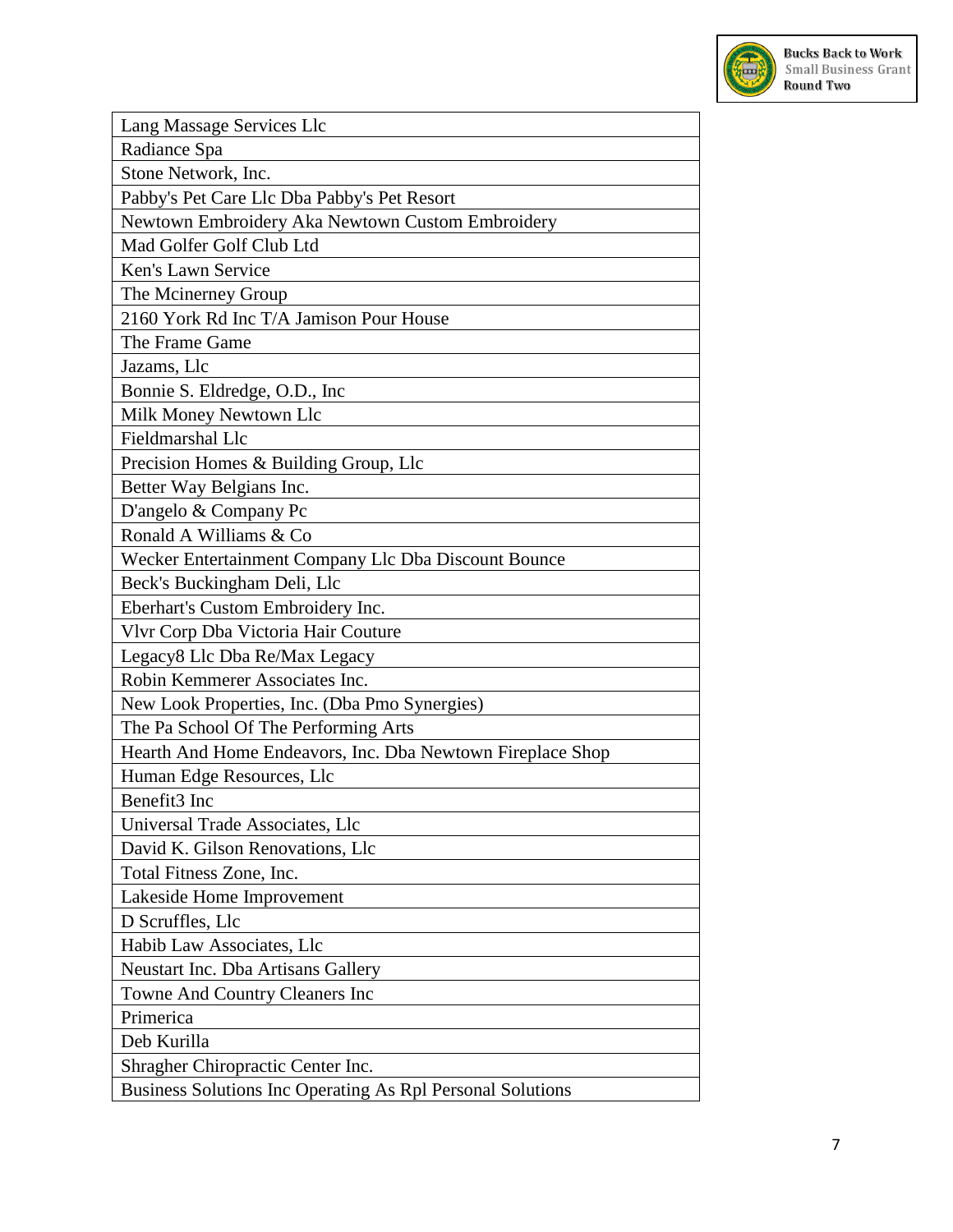

| Lang Massage Services Llc                                  |
|------------------------------------------------------------|
| Radiance Spa                                               |
| Stone Network, Inc.                                        |
| Pabby's Pet Care Llc Dba Pabby's Pet Resort                |
| Newtown Embroidery Aka Newtown Custom Embroidery           |
| Mad Golfer Golf Club Ltd                                   |
| Ken's Lawn Service                                         |
| The Mcinerney Group                                        |
| 2160 York Rd Inc T/A Jamison Pour House                    |
| The Frame Game                                             |
| Jazams, Llc                                                |
| Bonnie S. Eldredge, O.D., Inc.                             |
| Milk Money Newtown Llc                                     |
| Fieldmarshal Llc                                           |
| Precision Homes & Building Group, Llc                      |
| Better Way Belgians Inc.                                   |
| D'angelo & Company Pc                                      |
| Ronald A Williams & Co                                     |
| Wecker Entertainment Company Llc Dba Discount Bounce       |
| Beck's Buckingham Deli, Llc                                |
| Eberhart's Custom Embroidery Inc.                          |
| Vlvr Corp Dba Victoria Hair Couture                        |
| Legacy8 Llc Dba Re/Max Legacy                              |
| Robin Kemmerer Associates Inc.                             |
| New Look Properties, Inc. (Dba Pmo Synergies)              |
| The Pa School Of The Performing Arts                       |
| Hearth And Home Endeavors, Inc. Dba Newtown Fireplace Shop |
| Human Edge Resources, Llc                                  |
| Benefit3 Inc                                               |
| Universal Trade Associates, Llc                            |
| David K. Gilson Renovations, Llc                           |
| Total Fitness Zone, Inc.                                   |
| Lakeside Home Improvement                                  |
| D Scruffles, Llc                                           |
| Habib Law Associates, Llc                                  |
| Neustart Inc. Dba Artisans Gallery                         |
| Towne And Country Cleaners Inc                             |
| Primerica                                                  |
| Deb Kurilla                                                |
| Shragher Chiropractic Center Inc.                          |
| Business Solutions Inc Operating As Rpl Personal Solutions |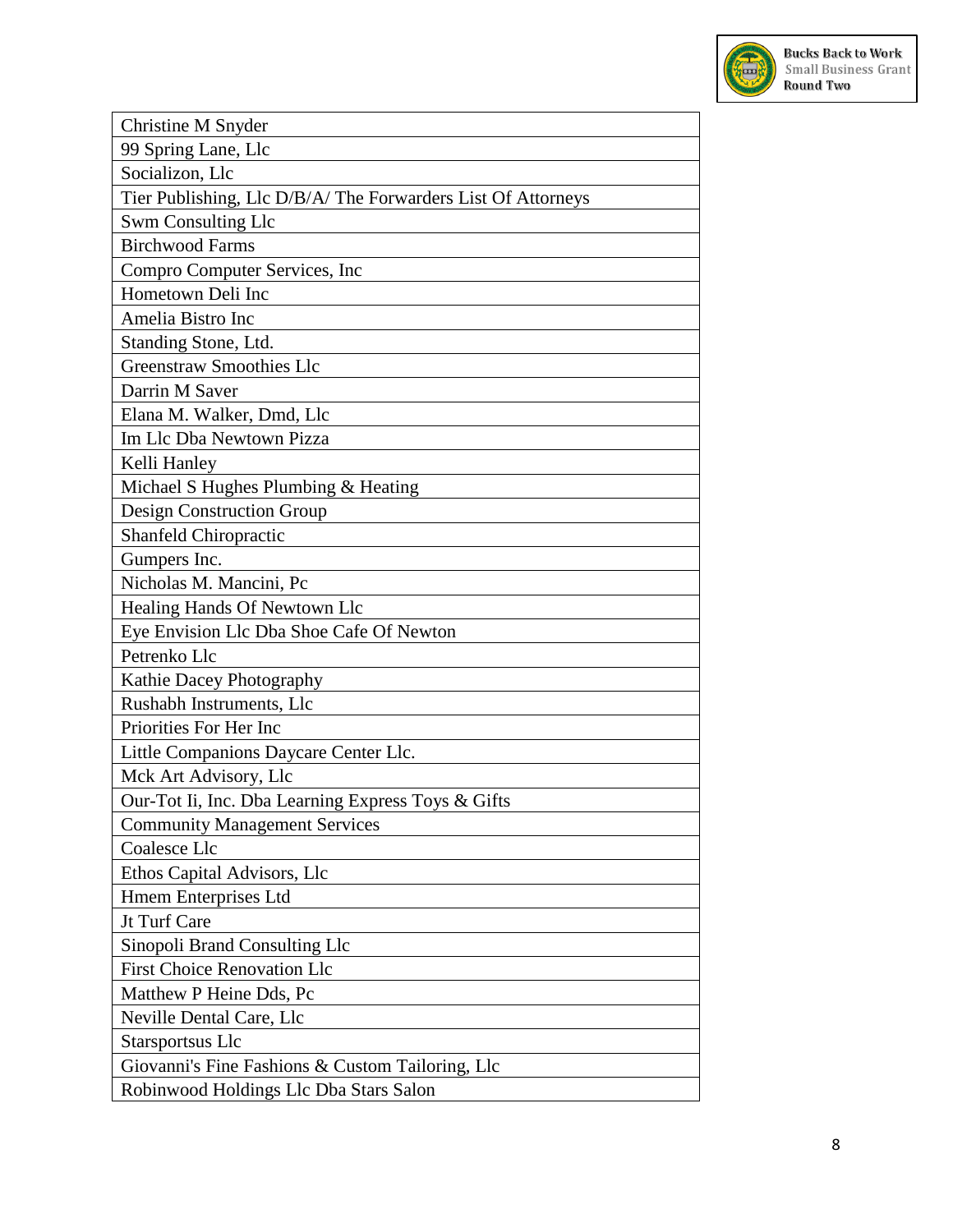

| Christine M Snyder                                           |
|--------------------------------------------------------------|
| 99 Spring Lane, Llc                                          |
| Socializon, Llc                                              |
| Tier Publishing, Llc D/B/A/ The Forwarders List Of Attorneys |
| Swm Consulting Llc                                           |
| <b>Birchwood Farms</b>                                       |
| Compro Computer Services, Inc                                |
| Hometown Deli Inc                                            |
| Amelia Bistro Inc                                            |
| Standing Stone, Ltd.                                         |
| <b>Greenstraw Smoothies Llc</b>                              |
| Darrin M Saver                                               |
| Elana M. Walker, Dmd, Llc                                    |
| Im Llc Dba Newtown Pizza                                     |
| Kelli Hanley                                                 |
| Michael S Hughes Plumbing & Heating                          |
| <b>Design Construction Group</b>                             |
| Shanfeld Chiropractic                                        |
| Gumpers Inc.                                                 |
| Nicholas M. Mancini, Pc                                      |
| Healing Hands Of Newtown Llc                                 |
| Eye Envision Llc Dba Shoe Cafe Of Newton                     |
| Petrenko Llc                                                 |
| Kathie Dacey Photography                                     |
| Rushabh Instruments, Llc                                     |
| Priorities For Her Inc                                       |
| Little Companions Daycare Center Llc.                        |
| Mck Art Advisory, Llc                                        |
| Our-Tot Ii, Inc. Dba Learning Express Toys & Gifts           |
| <b>Community Management Services</b>                         |
| Coalesce Llc                                                 |
| Ethos Capital Advisors, Llc                                  |
| Hmem Enterprises Ltd                                         |
| Jt Turf Care                                                 |
| Sinopoli Brand Consulting Llc                                |
| <b>First Choice Renovation Llc</b>                           |
| Matthew P Heine Dds, Pc                                      |
| Neville Dental Care, Llc                                     |
| Starsportsus Llc                                             |
| Giovanni's Fine Fashions & Custom Tailoring, Llc             |
| Robinwood Holdings Llc Dba Stars Salon                       |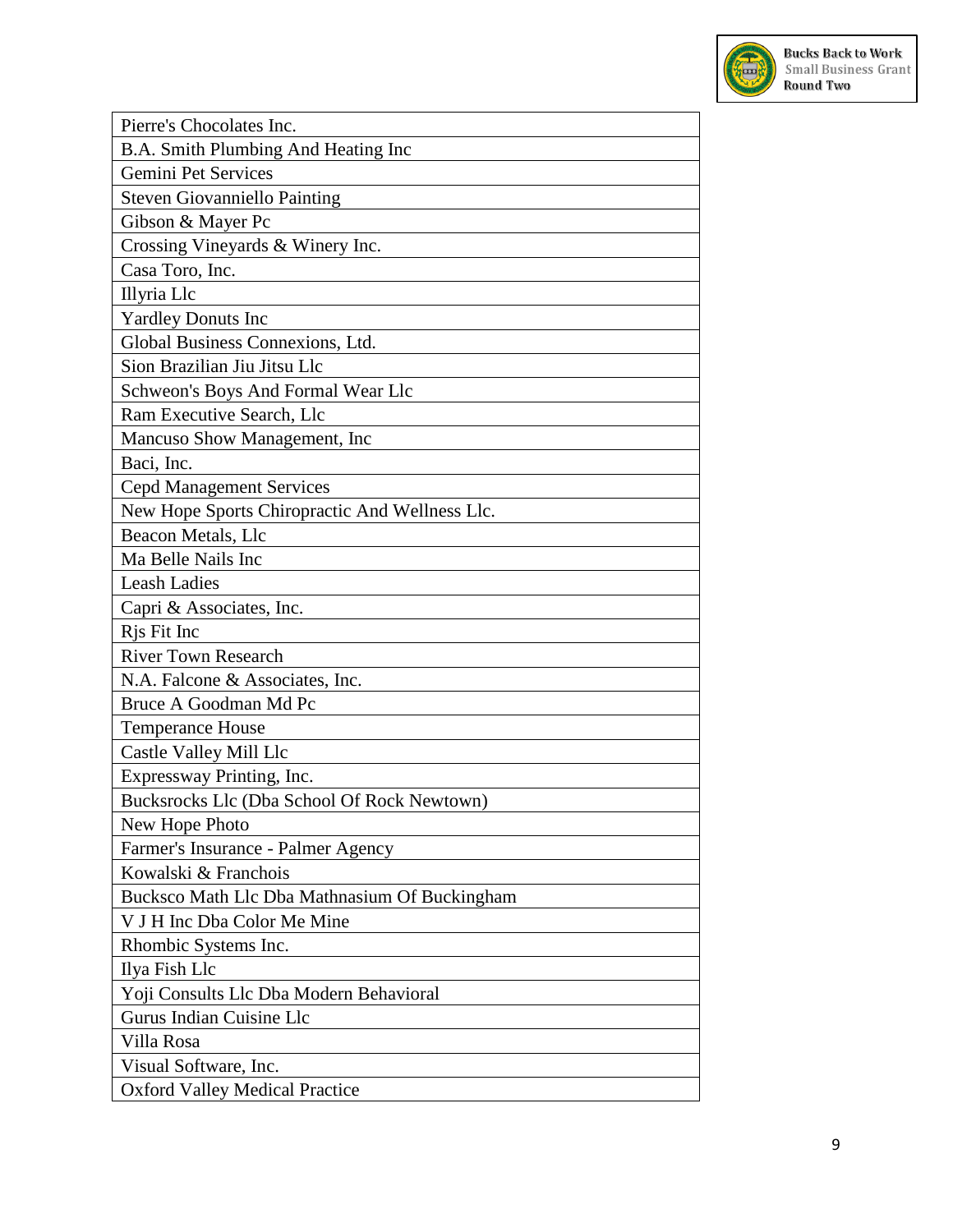

| Pierre's Chocolates Inc.                       |
|------------------------------------------------|
| B.A. Smith Plumbing And Heating Inc            |
| Gemini Pet Services                            |
| <b>Steven Giovanniello Painting</b>            |
| Gibson & Mayer Pc                              |
| Crossing Vineyards & Winery Inc.               |
| Casa Toro, Inc.                                |
| Illyria Llc                                    |
| <b>Yardley Donuts Inc</b>                      |
| Global Business Connexions, Ltd.               |
| Sion Brazilian Jiu Jitsu Llc                   |
| Schweon's Boys And Formal Wear Llc             |
| Ram Executive Search, Llc                      |
| Mancuso Show Management, Inc.                  |
| Baci, Inc.                                     |
| <b>Cepd Management Services</b>                |
| New Hope Sports Chiropractic And Wellness Llc. |
| Beacon Metals, Llc                             |
| Ma Belle Nails Inc                             |
| <b>Leash Ladies</b>                            |
| Capri & Associates, Inc.                       |
| Ris Fit Inc                                    |
| <b>River Town Research</b>                     |
| N.A. Falcone & Associates, Inc.                |
| Bruce A Goodman Md Pc                          |
| <b>Temperance House</b>                        |
| Castle Valley Mill Llc                         |
| Expressway Printing, Inc.                      |
| Bucksrocks Llc (Dba School Of Rock Newtown)    |
| New Hope Photo                                 |
| Farmer's Insurance - Palmer Agency             |
| Kowalski & Franchois                           |
| Bucksco Math Llc Dba Mathnasium Of Buckingham  |
| V J H Inc Dba Color Me Mine                    |
| Rhombic Systems Inc.                           |
| Ilya Fish Llc                                  |
| Yoji Consults Llc Dba Modern Behavioral        |
| Gurus Indian Cuisine Llc                       |
| Villa Rosa                                     |
| Visual Software, Inc.                          |
| <b>Oxford Valley Medical Practice</b>          |